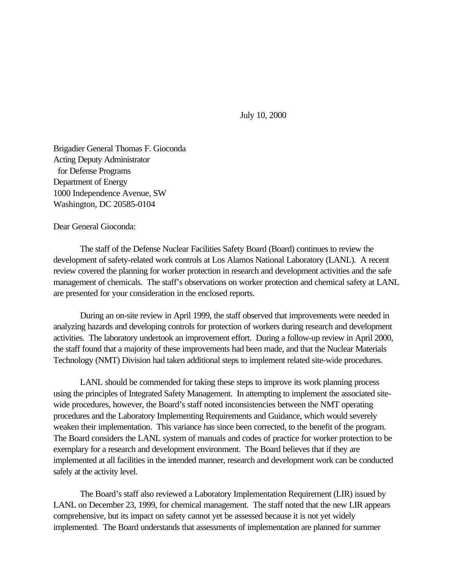July 10, 2000

Brigadier General Thomas F. Gioconda Acting Deputy Administrator for Defense Programs Department of Energy 1000 Independence Avenue, SW Washington, DC 20585-0104

Dear General Gioconda:

The staff of the Defense Nuclear Facilities Safety Board (Board) continues to review the development of safety-related work controls at Los Alamos National Laboratory (LANL). A recent review covered the planning for worker protection in research and development activities and the safe management of chemicals. The staff's observations on worker protection and chemical safety at LANL are presented for your consideration in the enclosed reports.

During an on-site review in April 1999, the staff observed that improvements were needed in analyzing hazards and developing controls for protection of workers during research and development activities. The laboratory undertook an improvement effort. During a follow-up review in April 2000, the staff found that a majority of these improvements had been made, and that the Nuclear Materials Technology (NMT) Division had taken additional steps to implement related site-wide procedures.

LANL should be commended for taking these steps to improve its work planning process using the principles of Integrated Safety Management. In attempting to implement the associated sitewide procedures, however, the Board's staff noted inconsistencies between the NMT operating procedures and the Laboratory Implementing Requirements and Guidance, which would severely weaken their implementation. This variance has since been corrected, to the benefit of the program. The Board considers the LANL system of manuals and codes of practice for worker protection to be exemplary for a research and development environment. The Board believes that if they are implemented at all facilities in the intended manner, research and development work can be conducted safely at the activity level.

The Board's staff also reviewed a Laboratory Implementation Requirement (LIR) issued by LANL on December 23, 1999, for chemical management. The staff noted that the new LIR appears comprehensive, but its impact on safety cannot yet be assessed because it is not yet widely implemented. The Board understands that assessments of implementation are planned for summer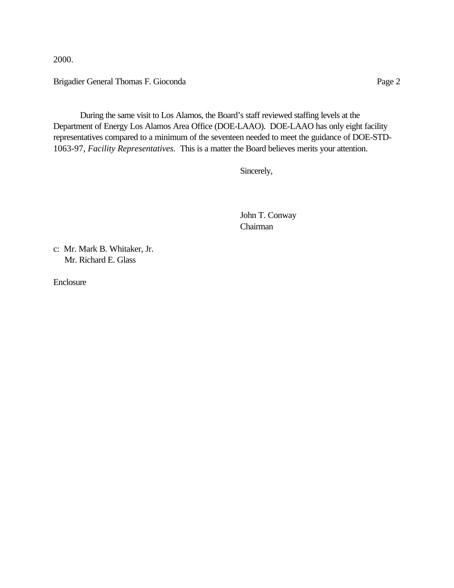2000.

Brigadier General Thomas F. Gioconda Page 2

During the same visit to Los Alamos, the Board's staff reviewed staffing levels at the Department of Energy Los Alamos Area Office (DOE-LAAO). DOE-LAAO has only eight facility representatives compared to a minimum of the seventeen needed to meet the guidance of DOE-STD-1063-97, *Facility Representatives.* This is a matter the Board believes merits your attention.

Sincerely,

 John T. Conway Chairman

c: Mr. Mark B. Whitaker, Jr. Mr. Richard E. Glass

Enclosure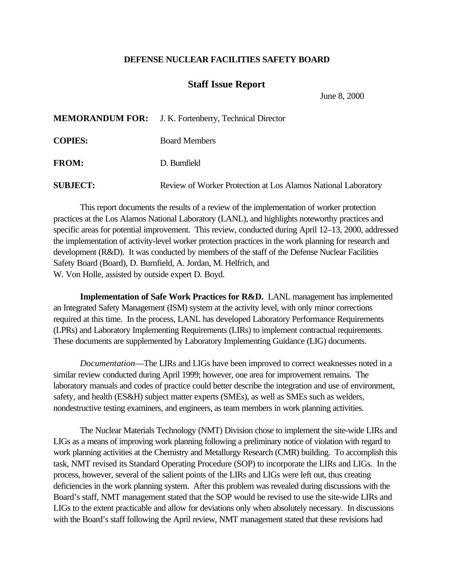## **DEFENSE NUCLEAR FACILITIES SAFETY BOARD**

## **Staff Issue Report**

June 8, 2000

|                 | <b>MEMORANDUM FOR:</b> J. K. Fortenberry, Technical Director  |
|-----------------|---------------------------------------------------------------|
| <b>COPIES:</b>  | <b>Board Members</b>                                          |
| <b>FROM:</b>    | D. Burnfield                                                  |
| <b>SUBJECT:</b> | Review of Worker Protection at Los Alamos National Laboratory |

This report documents the results of a review of the implementation of worker protection practices at the Los Alamos National Laboratory (LANL), and highlights noteworthy practices and specific areas for potential improvement. This review, conducted during April 12–13, 2000, addressed the implementation of activity-level worker protection practices in the work planning for research and development (R&D). It was conducted by members of the staff of the Defense Nuclear Facilities Safety Board (Board), D. Burnfield, A. Jordan, M. Helfrich, and W. Von Holle, assisted by outside expert D. Boyd.

**Implementation of Safe Work Practices for R&D.** LANL management has implemented an Integrated Safety Management (ISM) system at the activity level, with only minor corrections required at this time. In the process, LANL has developed Laboratory Performance Requirements (LPRs) and Laboratory Implementing Requirements (LIRs) to implement contractual requirements. These documents are supplemented by Laboratory Implementing Guidance (LIG) documents.

*Documentation*—The LIRs and LIGs have been improved to correct weaknesses noted in a similar review conducted during April 1999; however, one area for improvement remains. The laboratory manuals and codes of practice could better describe the integration and use of environment, safety, and health (ES&H) subject matter experts (SMEs), as well as SMEs such as welders, nondestructive testing examiners, and engineers, as team members in work planning activities.

The Nuclear Materials Technology (NMT) Division chose to implement the site-wide LIRs and LIGs as a means of improving work planning following a preliminary notice of violation with regard to work planning activities at the Chemistry and Metallurgy Research (CMR) building. To accomplish this task, NMT revised its Standard Operating Procedure (SOP) to incorporate the LIRs and LIGs. In the process, however, several of the salient points of the LIRs and LIGs were left out, thus creating deficiencies in the work planning system. After this problem was revealed during discussions with the Board's staff, NMT management stated that the SOP would be revised to use the site-wide LIRs and LIGs to the extent practicable and allow for deviations only when absolutely necessary. In discussions with the Board's staff following the April review, NMT management stated that these revisions had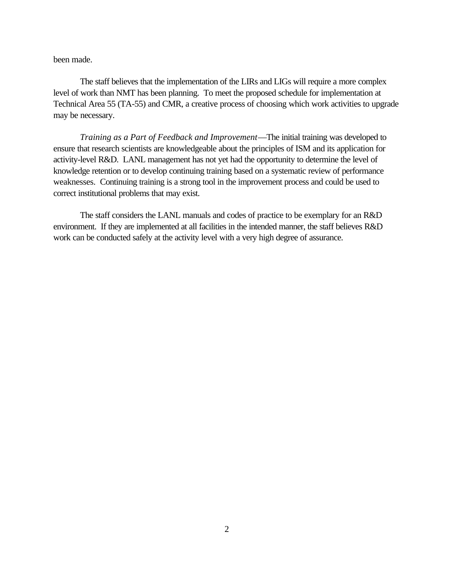been made.

The staff believes that the implementation of the LIRs and LIGs will require a more complex level of work than NMT has been planning. To meet the proposed schedule for implementation at Technical Area 55 (TA-55) and CMR, a creative process of choosing which work activities to upgrade may be necessary.

*Training as a Part of Feedback and Improvement*—The initial training was developed to ensure that research scientists are knowledgeable about the principles of ISM and its application for activity-level R&D. LANL management has not yet had the opportunity to determine the level of knowledge retention or to develop continuing training based on a systematic review of performance weaknesses. Continuing training is a strong tool in the improvement process and could be used to correct institutional problems that may exist.

The staff considers the LANL manuals and codes of practice to be exemplary for an R&D environment. If they are implemented at all facilities in the intended manner, the staff believes R&D work can be conducted safely at the activity level with a very high degree of assurance.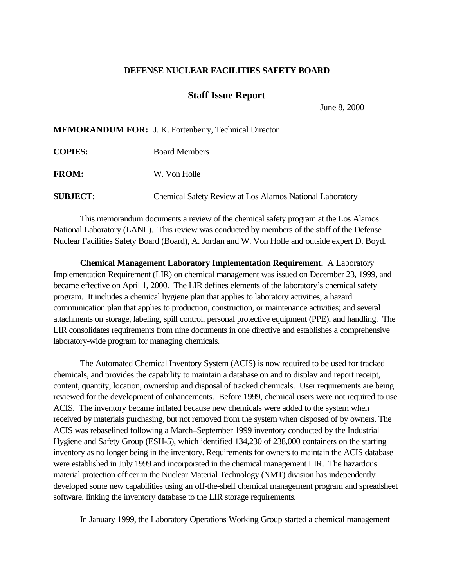## **DEFENSE NUCLEAR FACILITIES SAFETY BOARD**

## **Staff Issue Report**

June 8, 2000

**MEMORANDUM FOR:** J. K. Fortenberry, Technical Director

| <b>COPIES:</b>  | <b>Board Members</b>                                     |
|-----------------|----------------------------------------------------------|
| <b>FROM:</b>    | W. Von Holle                                             |
| <b>SUBJECT:</b> | Chemical Safety Review at Los Alamos National Laboratory |

This memorandum documents a review of the chemical safety program at the Los Alamos National Laboratory (LANL). This review was conducted by members of the staff of the Defense Nuclear Facilities Safety Board (Board), A. Jordan and W. Von Holle and outside expert D. Boyd.

**Chemical Management Laboratory Implementation Requirement.** A Laboratory Implementation Requirement (LIR) on chemical management was issued on December 23, 1999, and became effective on April 1, 2000. The LIR defines elements of the laboratory's chemical safety program. It includes a chemical hygiene plan that applies to laboratory activities; a hazard communication plan that applies to production, construction, or maintenance activities; and several attachments on storage, labeling, spill control, personal protective equipment (PPE), and handling. The LIR consolidates requirements from nine documents in one directive and establishes a comprehensive laboratory-wide program for managing chemicals.

The Automated Chemical Inventory System (ACIS) is now required to be used for tracked chemicals, and provides the capability to maintain a database on and to display and report receipt, content, quantity, location, ownership and disposal of tracked chemicals. User requirements are being reviewed for the development of enhancements. Before 1999, chemical users were not required to use ACIS. The inventory became inflated because new chemicals were added to the system when received by materials purchasing, but not removed from the system when disposed of by owners. The ACIS was rebaselined following a March–September 1999 inventory conducted by the Industrial Hygiene and Safety Group (ESH-5), which identified 134,230 of 238,000 containers on the starting inventory as no longer being in the inventory. Requirements for owners to maintain the ACIS database were established in July 1999 and incorporated in the chemical management LIR. The hazardous material protection officer in the Nuclear Material Technology (NMT) division has independently developed some new capabilities using an off-the-shelf chemical management program and spreadsheet software, linking the inventory database to the LIR storage requirements.

In January 1999, the Laboratory Operations Working Group started a chemical management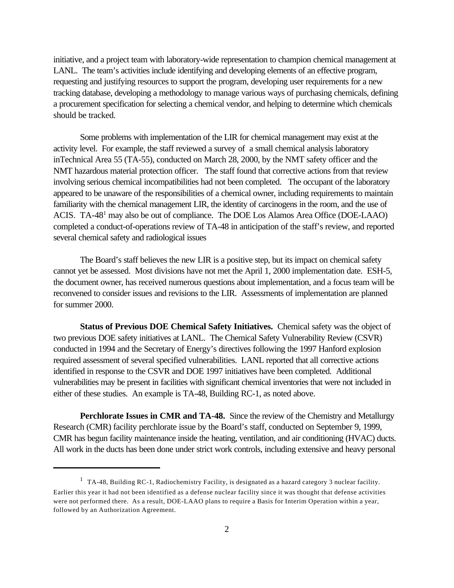initiative, and a project team with laboratory-wide representation to champion chemical management at LANL. The team's activities include identifying and developing elements of an effective program, requesting and justifying resources to support the program, developing user requirements for a new tracking database, developing a methodology to manage various ways of purchasing chemicals, defining a procurement specification for selecting a chemical vendor, and helping to determine which chemicals should be tracked.

Some problems with implementation of the LIR for chemical management may exist at the activity level. For example, the staff reviewed a survey of a small chemical analysis laboratory inTechnical Area 55 (TA-55), conducted on March 28, 2000, by the NMT safety officer and the NMT hazardous material protection officer. The staff found that corrective actions from that review involving serious chemical incompatibilities had not been completed. The occupant of the laboratory appeared to be unaware of the responsibilities of a chemical owner, including requirements to maintain familiarity with the chemical management LIR, the identity of carcinogens in the room, and the use of ACIS. TA-48<sup>1</sup> may also be out of compliance. The DOE Los Alamos Area Office (DOE-LAAO) completed a conduct-of-operations review of TA-48 in anticipation of the staff's review, and reported several chemical safety and radiological issues

The Board's staff believes the new LIR is a positive step, but its impact on chemical safety cannot yet be assessed. Most divisions have not met the April 1, 2000 implementation date. ESH-5, the document owner, has received numerous questions about implementation, and a focus team will be reconvened to consider issues and revisions to the LIR. Assessments of implementation are planned for summer 2000.

**Status of Previous DOE Chemical Safety Initiatives.** Chemical safety was the object of two previous DOE safety initiatives at LANL. The Chemical Safety Vulnerability Review (CSVR) conducted in 1994 and the Secretary of Energy's directives following the 1997 Hanford explosion required assessment of several specified vulnerabilities. LANL reported that all corrective actions identified in response to the CSVR and DOE 1997 initiatives have been completed. Additional vulnerabilities may be present in facilities with significant chemical inventories that were not included in either of these studies. An example is TA-48, Building RC-1, as noted above.

**Perchlorate Issues in CMR and TA-48.** Since the review of the Chemistry and Metallurgy Research (CMR) facility perchlorate issue by the Board's staff, conducted on September 9, 1999, CMR has begun facility maintenance inside the heating, ventilation, and air conditioning (HVAC) ducts. All work in the ducts has been done under strict work controls, including extensive and heavy personal

<sup>&</sup>lt;sup>1</sup> TA-48, Building RC-1, Radiochemistry Facility, is designated as a hazard category 3 nuclear facility. Earlier this year it had not been identified as a defense nuclear facility since it was thought that defense activities were not performed there. As a result, DOE-LAAO plans to require a Basis for Interim Operation within a year, followed by an Authorization Agreement.